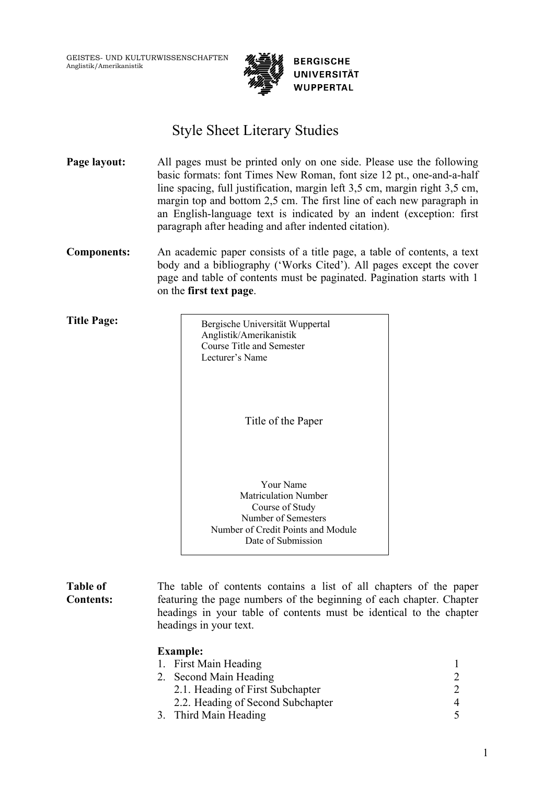GEISTES- UND KULTURWISSENSCHAFTEN Anglistik/Amerikanistik



# Style Sheet Literary Studies

**Page layout:** All pages must be printed only on one side. Please use the following basic formats: font Times New Roman, font size 12 pt., one-and-a-half line spacing, full justification, margin left 3,5 cm, margin right 3,5 cm, margin top and bottom 2,5 cm. The first line of each new paragraph in an English-language text is indicated by an indent (exception: first paragraph after heading and after indented citation).

**Components:** An academic paper consists of a title page, a table of contents, a text body and a bibliography ('Works Cited'). All pages except the cover page and table of contents must be paginated. Pagination starts with 1 on the **first text page**.

**Title Page:**

Bergische Universität Wuppertal Anglistik/Amerikanistik Course Title and Semester Lecturer's Name Title of the Paper

Your Name Matriculation Number Course of Study Number of Semesters Number of Credit Points and Module Date of Submission

**Table of Contents:** The table of contents contains a list of all chapters of the paper featuring the page numbers of the beginning of each chapter. Chapter headings in your table of contents must be identical to the chapter headings in your text.

| <b>Example:</b>                   |  |
|-----------------------------------|--|
| 1. First Main Heading             |  |
| 2. Second Main Heading            |  |
| 2.1. Heading of First Subchapter  |  |
| 2.2. Heading of Second Subchapter |  |
| 3. Third Main Heading             |  |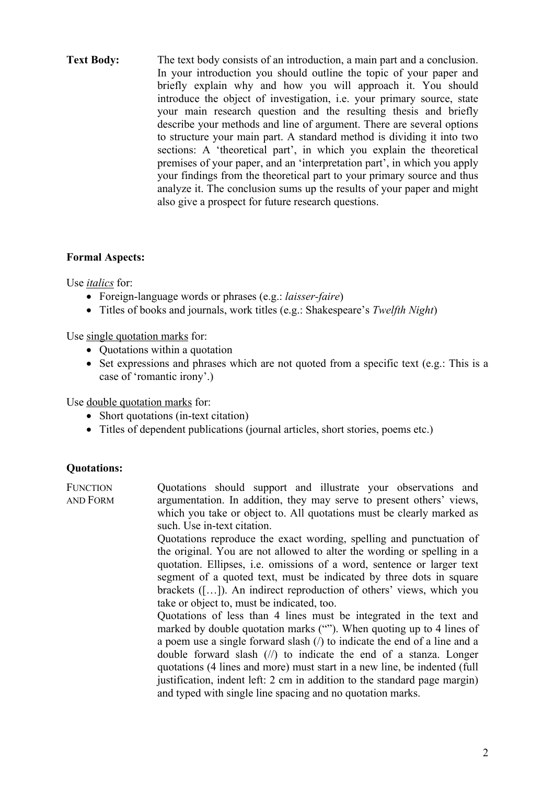**Text Body:** The text body consists of an introduction, a main part and a conclusion. In your introduction you should outline the topic of your paper and briefly explain why and how you will approach it. You should introduce the object of investigation, i.e. your primary source, state your main research question and the resulting thesis and briefly describe your methods and line of argument. There are several options to structure your main part. A standard method is dividing it into two sections: A 'theoretical part', in which you explain the theoretical premises of your paper, and an 'interpretation part', in which you apply your findings from the theoretical part to your primary source and thus analyze it. The conclusion sums up the results of your paper and might also give a prospect for future research questions.

# **Formal Aspects:**

Use *italics* for:

- Foreign-language words or phrases (e.g.: *laisser-faire*)
- Titles of books and journals, work titles (e.g.: Shakespeare's *Twelfth Night*)

Use single quotation marks for:

- Quotations within a quotation
- Set expressions and phrases which are not quoted from a specific text (e.g.: This is a case of 'romantic irony'.)

Use double quotation marks for:

- Short quotations (in-text citation)
- Titles of dependent publications (journal articles, short stories, poems etc.)

# **Quotations:**

| <b>FUNCTION</b><br>and Form | Quotations should support and illustrate your observations and<br>argumentation. In addition, they may serve to present others' views, |
|-----------------------------|----------------------------------------------------------------------------------------------------------------------------------------|
|                             | which you take or object to. All quotations must be clearly marked as                                                                  |
|                             | such. Use in-text citation.                                                                                                            |
|                             | Quotations reproduce the exact wording, spelling and punctuation of                                                                    |
|                             | the original. You are not allowed to alter the wording or spelling in a                                                                |
|                             | quotation. Ellipses, <i>i.e.</i> omissions of a word, sentence or larger text                                                          |
|                             | segment of a quoted text, must be indicated by three dots in square                                                                    |
|                             | brackets $([-]$ . An indirect reproduction of others' views, which you                                                                 |
|                             | take or object to, must be indicated, too.                                                                                             |
|                             | Quotations of less than 4 lines must be integrated in the text and                                                                     |
|                             | marked by double quotation marks (""). When quoting up to 4 lines of                                                                   |
|                             | a poem use a single forward slash $\alpha$ to indicate the end of a line and a                                                         |
|                             | double forward slash $(\frac{1}{\lambda})$ to indicate the end of a stanza. Longer                                                     |
|                             | quotations (4 lines and more) must start in a new line, be indented (full                                                              |
|                             | justification, indent left: 2 cm in addition to the standard page margin)                                                              |
|                             | and typed with single line spacing and no quotation marks.                                                                             |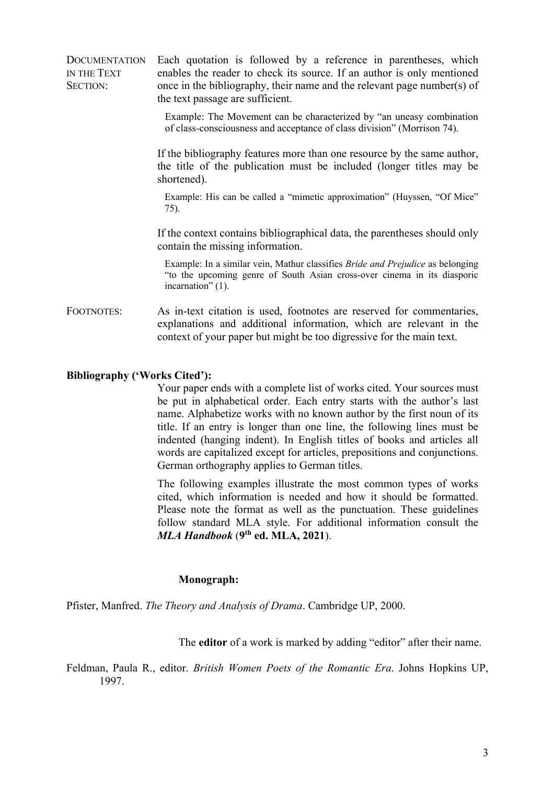**DOCUMENTATION** IN THE TEXT SECTION: Each quotation is followed by a reference in parentheses, which enables the reader to check its source. If an author is only mentioned once in the bibliography, their name and the relevant page number(s) of the text passage are sufficient.

> Example: The Movement can be characterized by "an uneasy combination of class-consciousness and acceptance of class division" (Morrison 74).

If the bibliography features more than one resource by the same author, the title of the publication must be included (longer titles may be shortened).

 Example: His can be called a "mimetic approximation" (Huyssen, "Of Mice" 75).

If the context contains bibliographical data, the parentheses should only contain the missing information.

 Example: In a similar vein, Mathur classifies *Bride and Prejudice* as belonging "to the upcoming genre of South Asian cross-over cinema in its diasporic incarnation" (1).

FOOTNOTES: As in-text citation is used, footnotes are reserved for commentaries, explanations and additional information, which are relevant in the context of your paper but might be too digressive for the main text.

#### **Bibliography ('Works Cited'):**

Your paper ends with a complete list of works cited. Your sources must be put in alphabetical order. Each entry starts with the author's last name. Alphabetize works with no known author by the first noun of its title. If an entry is longer than one line, the following lines must be indented (hanging indent). In English titles of books and articles all words are capitalized except for articles, prepositions and conjunctions. German orthography applies to German titles.

The following examples illustrate the most common types of works cited, which information is needed and how it should be formatted. Please note the format as well as the punctuation. These guidelines follow standard MLA style. For additional information consult the *MLA Handbook* (**9th ed. MLA, 2021**).

#### **Monograph:**

Pfister, Manfred. *The Theory and Analysis of Drama*. Cambridge UP, 2000.

The **editor** of a work is marked by adding "editor" after their name.

Feldman, Paula R., editor. *British Women Poets of the Romantic Era*. Johns Hopkins UP, 1997.